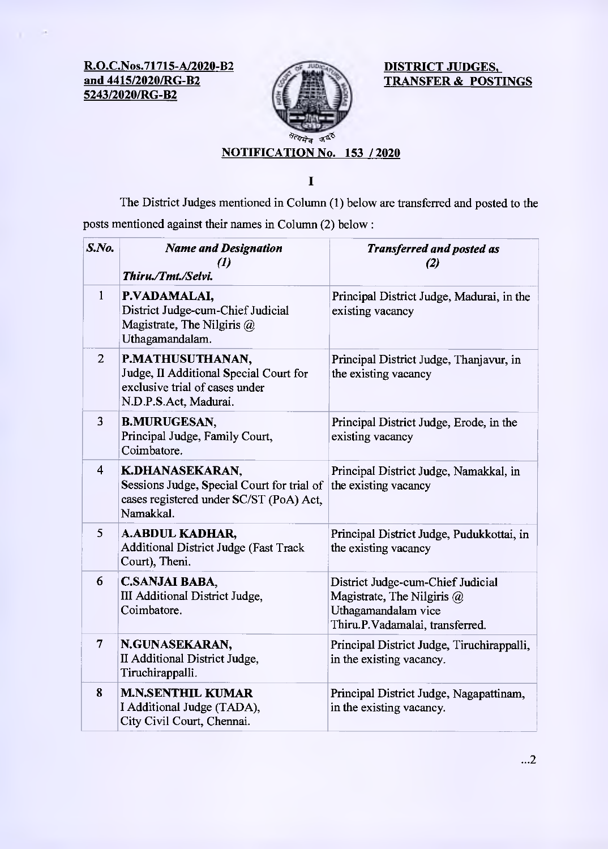**R.O.C.Nos.71715-A/2020-B2 and 4415/2020/RG-B2 5243/2020/RG-B2** 



**DISTRICT JUDGES, TRANSFER & POSTINGS** 

## **NOTIFICATION No. 153 / 2020**

 $\mathbf{I}$ 

The District Judges mentioned in Column (I) below are transferred and posted to the posts mentioned against their names in Column (2) below:

| $S$ .No.       | <b>Name and Designation</b><br>$\boldsymbol{d}$<br>Thiru./Tmt./Selvi.                                                 | <b>Transferred and posted as</b><br>(2)                                                                                   |
|----------------|-----------------------------------------------------------------------------------------------------------------------|---------------------------------------------------------------------------------------------------------------------------|
| $\mathbf{1}$   | P.VADAMALAI,<br>District Judge-cum-Chief Judicial<br>Magistrate, The Nilgiris @<br>Uthagamandalam.                    | Principal District Judge, Madurai, in the<br>existing vacancy                                                             |
| $\overline{2}$ | P.MATHUSUTHANAN,<br>Judge, II Additional Special Court for<br>exclusive trial of cases under<br>N.D.P.S.Act, Madurai. | Principal District Judge, Thanjavur, in<br>the existing vacancy                                                           |
| 3              | <b>B.MURUGESAN,</b><br>Principal Judge, Family Court,<br>Coimbatore.                                                  | Principal District Judge, Erode, in the<br>existing vacancy                                                               |
| $\overline{4}$ | K.DHANASEKARAN,<br>Sessions Judge, Special Court for trial of<br>cases registered under SC/ST (PoA) Act,<br>Namakkal. | Principal District Judge, Namakkal, in<br>the existing vacancy                                                            |
| 5              | A.ABDUL KADHAR,<br><b>Additional District Judge (Fast Track</b><br>Court), Theni.                                     | Principal District Judge, Pudukkottai, in<br>the existing vacancy                                                         |
| 6              | <b>C.SANJAI BABA,</b><br>III Additional District Judge,<br>Coimbatore.                                                | District Judge-cum-Chief Judicial<br>Magistrate, The Nilgiris @<br>Uthagamandalam vice<br>Thiru.P.Vadamalai, transferred. |
| $\overline{7}$ | N.GUNASEKARAN,<br>II Additional District Judge,<br>Tiruchirappalli.                                                   | Principal District Judge, Tiruchirappalli,<br>in the existing vacancy.                                                    |
| 8              | <b>M.N.SENTHIL KUMAR</b><br>I Additional Judge (TADA),<br>City Civil Court, Chennai.                                  | Principal District Judge, Nagapattinam,<br>in the existing vacancy.                                                       |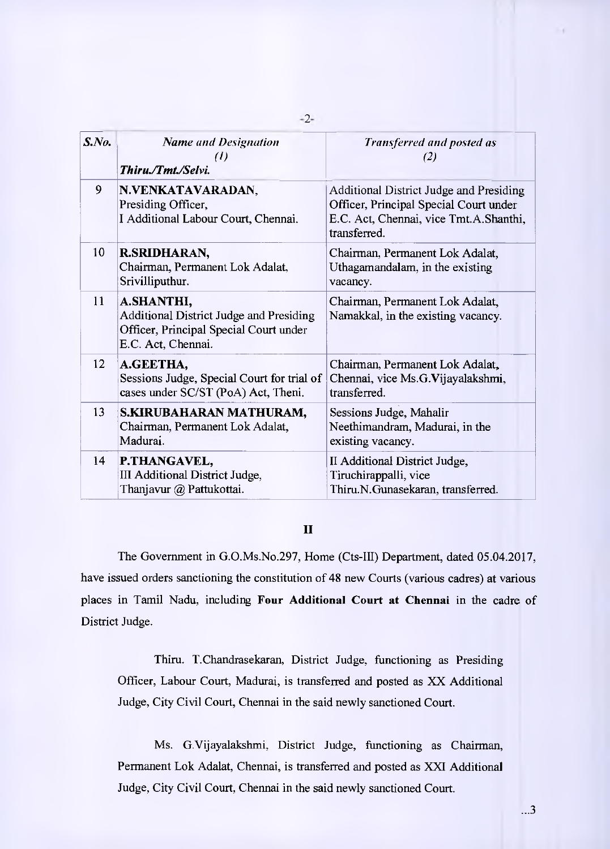| $S$ .No. | <b>Name and Designation</b><br>(I)<br>Thiru./Tmt./Selvi.                                                                     | Transferred and posted as<br>(2)                                                                                                            |
|----------|------------------------------------------------------------------------------------------------------------------------------|---------------------------------------------------------------------------------------------------------------------------------------------|
| 9        | N.VENKATAVARADAN,<br>Presiding Officer,<br>I Additional Labour Court, Chennai.                                               | Additional District Judge and Presiding<br>Officer, Principal Special Court under<br>E.C. Act, Chennai, vice Tmt.A.Shanthi,<br>transferred. |
| 10       | R.SRIDHARAN,<br>Chairman, Permanent Lok Adalat,<br>Srivilliputhur.                                                           | Chairman, Permanent Lok Adalat,<br>Uthagamandalam, in the existing<br>vacancy.                                                              |
| 11       | A.SHANTHI,<br><b>Additional District Judge and Presiding</b><br>Officer, Principal Special Court under<br>E.C. Act, Chennai. | Chairman, Permanent Lok Adalat,<br>Namakkal, in the existing vacancy.                                                                       |
| 12       | A.GEETHA,<br>Sessions Judge, Special Court for trial of<br>cases under SC/ST (PoA) Act, Theni.                               | Chairman, Permanent Lok Adalat,<br>Chennai, vice Ms.G.Vijayalakshmi,<br>transferred.                                                        |
| 13       | S.KIRUBAHARAN MATHURAM,<br>Chairman, Permanent Lok Adalat,<br>Madurai.                                                       | Sessions Judge, Mahalir<br>Neethimandram, Madurai, in the<br>existing vacancy.                                                              |
| 14       | P.THANGAVEL,<br>III Additional District Judge,<br>Thanjavur @ Pattukottai.                                                   | II Additional District Judge,<br>Tiruchirappalli, vice<br>Thiru.N.Gunasekaran, transferred.                                                 |

## **II**

The Government in G.O.Ms.No.297, Home (Cts-III) Department, dated 05.04.2017, have issued orders sanctioning the constitution of 48 new Courts (various cadres) at various places in Tamil Nadu, including **Four Additional Court at Chennai** in the cadre of District Judge.

Thiru. T.Chandrasekaran, District Judge, functioning as Presiding Officer, Labour Court, Madurai, is transferred and posted as XX Additional Judge, City Civil Court, Chennai in the said newly sanctioned Court.

Ms. G.Vijayalakshmi, District Judge, functioning as Chairman, Permanent Lok Adalat, Chennai, is transferred and posted as XXI Additional Judge, City Civil Court, Chennai in the said newly sanctioned Court.